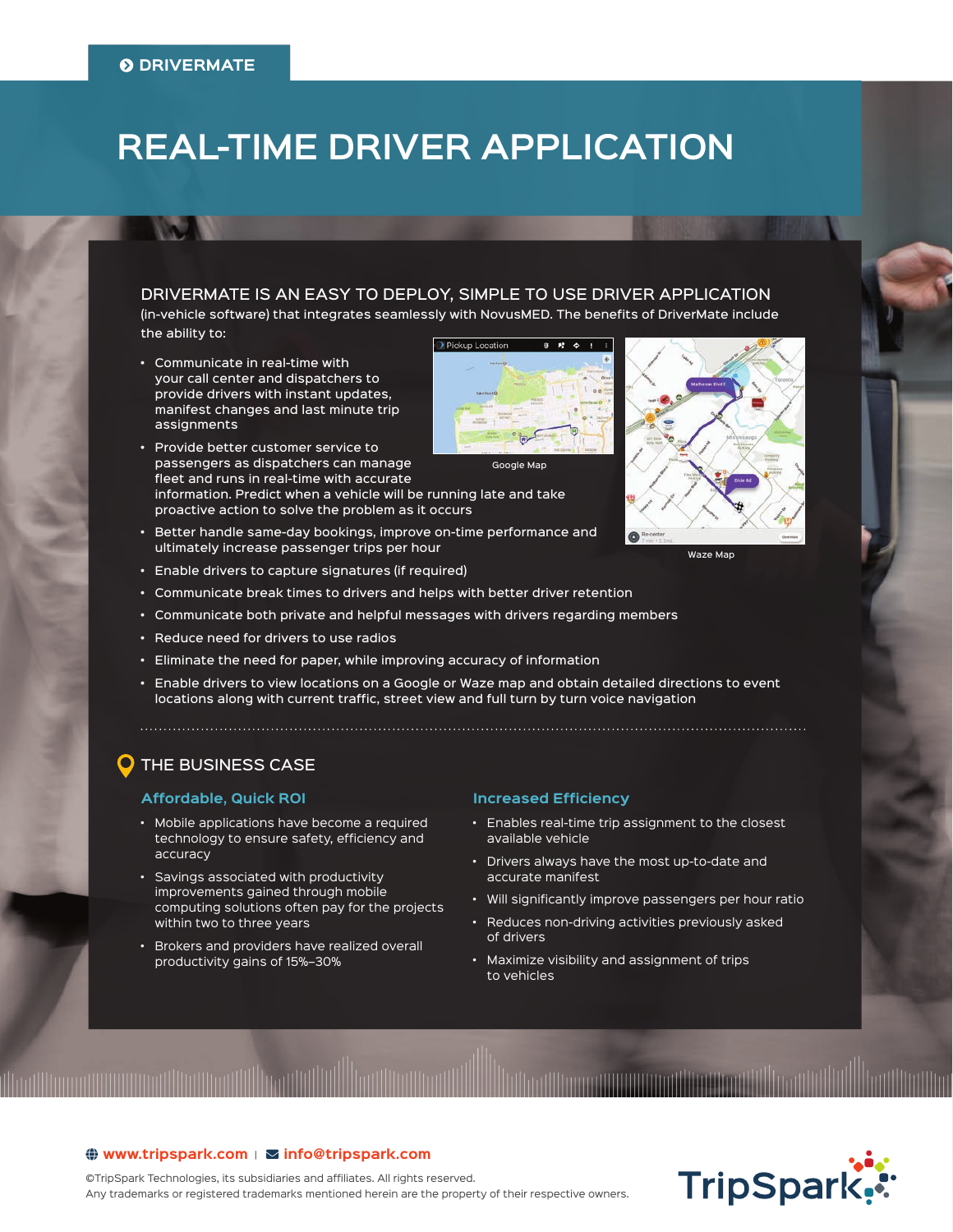# **REAL-TIME DRIVER APPLICATION**

DRIVERMATE IS AN EASY TO DEPLOY, SIMPLE TO USE DRIVER APPLICATION (in-vehicle software) that integrates seamlessly with NovusMED. The benefits of DriverMate include the ability to:

Pickup Locat

- Communicate in real-time with your call center and dispatchers to provide drivers with instant updates, manifest changes and last minute trip assignments
- Provide better customer service to passengers as dispatchers can manage fleet and runs in real-time with accurate information. Predict when a vehicle will be running late and take proactive action to solve the problem as it occurs Google Map
- Better handle same-day bookings, improve on-time performance and ultimately increase passenger trips per hour
- Enable drivers to capture signatures (if required)
- Communicate break times to drivers and helps with better driver retention
- Communicate both private and helpful messages with drivers regarding members
- Reduce need for drivers to use radios
- Eliminate the need for paper, while improving accuracy of information
- Enable drivers to view locations on a Google or Waze map and obtain detailed directions to event locations along with current traffic, street view and full turn by turn voice navigation

## THE BUSINESS CASE

## **Affordable, Quick ROI**

- Mobile applications have become a required technology to ensure safety, efficiency and accuracy
- Savings associated with productivity improvements gained through mobile computing solutions often pay for the projects within two to three years
- Brokers and providers have realized overall productivity gains of 15%–30%

 $\bigoplus$  www.tripspark.com |  $\Sigma$  info@ tripspark.com

immuillinninninnillinniinnillillinnii

## **Increased Efficiency**

• Enables real-time trip assignment to the closest available vehicle

®

- Drivers always have the most up-to-date and accurate manifest
- Will significantly improve passengers per hour ratio
- Reduces non-driving activities previously asked of drivers
- Maximize visibility and assignment of trips to vehicles







©TripSpark Technologies, its subsidiaries and affiliates. All rights reserved. Any trademarks or registered trademarks mentioned herein are the property of their respective owners.